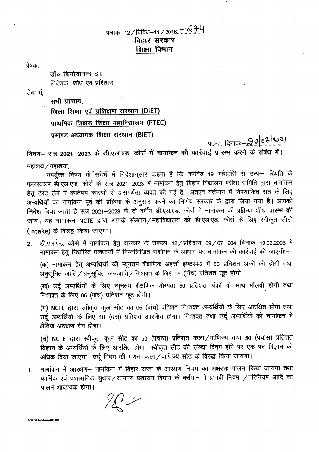## बिहार सरकार शिक्षा विमाग

प्रेषक.

डॉ॰ विनोदानन्द झा निदेशक, शोध एवं प्रशिक्षण

सेवा में.

सभी प्राचार्य. जिला शिक्षा एवं प्रशिक्षण संस्थान (DIET) प्राथमिक शिक्षक शिक्षा महाविद्यालय (PTEC) प्रखण्ड अध्यापक शिक्षा संस्थान (BIET)

पटना, दिनांकः-- <mark>२*०* ०३ कि</mark>

विषय– सत्र 2021–2023 के डी.एल.एड. कोर्स में नामांकन की कार्रवाई प्रारम्म करने के संबंध में। महाशय / महाशया,

उपर्युक्त विषय के संदर्भ में निदेशानुसार कहना है कि कोविड–19 महामारी से उत्पन्न स्थिति के फलस्वरूप डी.एल.एड. कोर्स के सत्र 2021-2023 में नामांकन हेतु बिहार विद्यालय परीक्षा समिति द्वारा नामांकन हेतु टेस्ट लेने में कतिपय कारणों से असमर्थता व्यक्त की गई है। अतएव वर्त्तमान में विषयांकित सत्र के लिए अभ्यर्थियों का नामांकन पूर्व की प्रक्रिया के अनुसार करने का निर्णय सरकार के द्वारा लिया गया है। आपको निदेश दिया जाता है सत्र 2021–2023 के दो वर्षीय डी.एल.एड. कोर्स में नामांकन की प्रक्रिया शीघ्र प्रारम्भ की जाय। यह नामांकन NCTE द्वारा आपके संस्थान / महाविद्यालय को डी.एल.एड. कोर्स के लिए स्वीकृत सीटों (intake) के विरूद्व किया जाएगा।

डी.एल.एड. कोर्स में नामांकन हेतू सरकार के संकल्प-12/प्रशिक्षण-89/07-204 दिनांक-19.06.2008 में  $\overline{2}$ . नामांकन हेतु निर्धारित प्रावधानों में निम्नलिखित संशोधन के आधार पर नामांकन की कार्रवाई की जाएगी:-

(क) नामांकन हेतू अभ्यर्थियों की न्यूनतम शैक्षणिक अहर्त्ता इण्टर+2 में 50 प्रतिशत अंकों की होगी तथा अनुसूचित जाति / अनुसूचित जनजाति / निःशक्त के लिए 05 (पाँच) प्रतिशत छूट होगी।

(ख) उर्दू अभ्यर्थियों के लिए न्यूनतम शैक्षणिक योग्यता 50 प्रतिशत अंकों के साथ मौलवी होगी तथा निःशक्त के लिए 05 (पांच) प्रतिशत छूट होगी।

(ग) NCTE द्वारा स्वीकृत कुल सीट का 05 (पांच) प्रतिशत निःशक्त अभ्यर्थियों के लिए आरक्षित होगा तथा उर्दू अभ्यर्थियों के लिए 10 (दस) प्रतिशत आरक्षित होगा। निःशक्त तथा उर्दू अभ्यर्थियों को नामांकन में क्षेतिज आरक्षण देय होगा।

(घ) NCTE द्वारा स्वीकृत कुल सीट का 50 (पचास) प्रतिशत कला / वाणिज्य तथा 50 (पचास) प्रतिशत विज्ञान के अभ्यर्थियों के लिए आरक्षित होगा। स्वीकृत सीट की संख्या विषम होने पर एक पद विज्ञान को अधिक दिया जाएगा। उर्दू विषय की गणना कला/वाणिज्य सीट के विरूद्व किया जायगा।

नामांकन में आरक्षण-- नामांकन में बिहार राज्य के आरक्षण नियम का अक्षरशः पालन किया जायगा तथा 1. कार्मिक एवं प्रशासनिक सुधार/सामान्य प्रशासन विभाग के वर्त्तमान में प्रभावी नियम /परिनियम आदि का पालन आवश्यक होगा।

 $\chi \rightarrow \chi$ 

D/R&T All Blo/Admision 2021-2023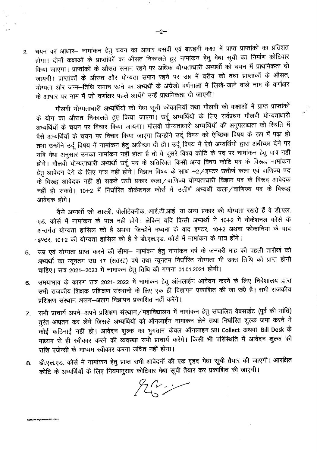चयन का आधार– नामांकन हेतु चयन का आधार दसवीं एवं बारहवीं कक्षा में प्राप्त प्राप्तांकों का प्रतिशत  $2.$ होगा। दोनों कक्षाओं के प्राप्तांकों का औसत निकालते हुए नामांकन हेतु मेधा सूची का निर्माण कोटिवार किया जाएगा। प्राप्तांकों के औसत समान रहने पर अधिक यौग्यताधारी अभ्यर्थी को चयन में प्राथमिकता दी जायगी। प्राप्तांकों के औसत और योग्यता समान रहने पर उम्र में वरीय को तथा प्राप्तांकों के औसत, योग्यता और जन्म-तिथि समान रहने पर अभ्यर्थी के अंग्रेजी वर्णमाला में लिखे- जाने वाले नाम के वर्णाक्षर के आधार पर नाम में जो वर्णाक्षर पहले आयेंगे उन्हें प्राथमिकता दी जाएगी।

मौलवी योग्यताधारी अभ्यर्थियों की मेधा सूची फोकानियाँ तथा मौलवी की कक्षाओं में प्राप्त प्राप्तांकों के योग का औसत निकालते हुए किया जाएगा। उर्दू अभ्यर्थियों के लिए सर्वप्रथम मौलवी योग्यताधारी अभ्यर्थियों के चयन पर विचार किया जायगा। मौलवी योग्यताधारी अभ्यर्थियों की अनुपलब्धता की स्थिति में वैसे अभ्यर्थियों के चयन पर विचार किया जाएगा जिन्होंने उर्दू विषय को ऐच्छिक विषय के रूप में पढ़ा हो तथा उन्होंने उर्दू विषय में नामांकन हेतु अधीच्छा दी हो। उर्दू विषय में ऐसे अभ्यर्थियों द्वारा अधीच्छा देने पर यदि मेधा अनुसार उनका नामांकन नहीं होता है तो वे दूसरे विषय कोटि के पद पर नामांकन हेतु पात्र नहीं होंगे। मौलवी योग्यताधारी अभ्यर्थी उर्दू पद के अतिरिक्त किसी अन्य विषय कोटि पद के विरूद्ध नामांकन हेतु आवेदन देने के लिए पात्र नहीं होंगे। विज्ञान विषय के साथ +2/इण्टर उत्तीर्ण कला एवं वाणिज्य पद के विरूद्व आवेदक नहीं हो सकते उसी प्रकार कला/वाणिज्य योग्यताधारी विज्ञान पद के विरूद्व आवेदक नहीं हो सकते। 10+2 में निर्धारित वोकेशनल कोर्स में उत्तीर्ण अभ्यर्थी कला ⁄वाणिज्य पद के विरूद्ध आवेदक होंगे।

वैसे अभ्यर्थी जो शास्त्री, पोलीटेक्नीक, आई.टी.आई. या अन्य प्रकार की योग्यता रखते हैं वे डी.एल. एड. कोर्स में नामांकन के पात्र नहीं होंगे। लेकिन यदि किसी अभ्यर्थी ने 10+2 में वोकेशनल कोर्स के अन्तर्गत योग्यता हासिल की है अथवा जिन्होंने मध्यमा के वाद इण्टर, 10+2 अथवा फोकानियां के वाद ·इण्टर, 10+2 की योग्यता हासिल की है वे डी.एल.एड. कोर्स में नामांकन के पात्र होंगे।

- उम्र एवं योग्यता प्राप्त करने की सीमा-- नामांकन हेतु नामांकन वर्ष के जनवरी माह की पहली तारीख को 5. अभ्यर्थी का न्यूनतम उम्र 17 (सतरह) वर्ष तथा न्यूनतम निर्धारित योग्यता भी उक्त तिथि को प्राप्त होनी चाहिए। सत्र 2021–2023 में नामांकन हेतु तिथि की गणना 01.01.2021 होगी।
- समयाभाव के कारण सत्र 2021–2022 में नामांकन हेतु ऑनलाईन आवेदन करने के लिए निदेशालय द्वारा 6. सभी राजकीय शिक्षक प्रशिक्षण संस्थानों के लिए एक ही विज्ञापन प्रकाशित की जा रही है। सभी राजकीय प्रशिक्षण संस्थान अलग-अलग विज्ञापन प्रकाशित नहीं करेंगे।
- सभी प्राचार्य अपने-अपने प्रशिक्षण संस्थान/महाविद्यालय में नामांकन हेतु संचालित वेबसाईट (पूर्व की भांति)  $\overline{7}$ . तुरंत अद्यतन कर लेंगे जिससे अभ्यर्थियों को ऑनलाईन नामांकन लेने तथा निर्धारित शुल्क जमा करने में कोई कठिनाई नहीं हो। आवेदन शुल्क का भुगतान केवल ऑनलाइन SBI Collect अथवा Bill Desk के माध्यम से ही स्वीकार करने की व्यवस्था सभी प्राचार्य करेंगे। किसी भी परिस्थिति में आवेदन शुल्क की राशि एजेन्सी के माध्यम स्वीकार करना उचित नहीं होगा।
- डी.एल.एड. कोर्स में नामांकन हेतु प्राप्त सभी आवेदनों की एक वृहद मेधा सूची तैयार की जाएगी। आरक्षित 8. कोटि के अभ्यर्थियों के लिए नियमानुसार कोटिवार मेधा सूची तैयार कर प्रकाशित की जाएगी।

 $H^{\prime}$ 

mision 2021-202

**DALTAI Me<sup>r</sup>id**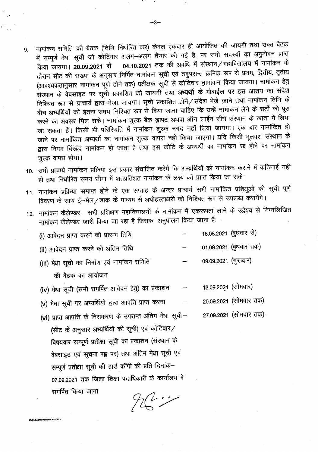- 9. नामांकन समिति की बैठक (तिथि निर्धारित कर) केवल एकबार ही आयोजित की जायगी तथा उक्त बैठक में सम्पूर्ण मेधा सूची जो कोटिवार अलग-अलग तैयार की गई है, पर सभी सदस्यों का अनुमोदन प्राप्त किया जायगा। 20.09.2021 से 04.10.2021 तक की अवधि में संस्थान / महाविद्यालय में नामांकन के दौरान सीट की संख्या के अनुसार निर्मित नामांकन सूची एवं तदुपरान्त क्रमिक रूप से प्रथम, द्वितीय, तृतीय (आवश्यकतानुसार नामांकन पूर्ण होने तक) प्रतीक्षक सूची से कोटिवार नामांकन किया जायगा। नामांकन हेतु <sup>~</sup> <sup>~</sup> ~~XiI~C "QX <sup>~</sup> !IICf>I~ld -mT \JI11l1fi "d"~ ~~ <sup>~</sup> lil~I~&1 "QX <sup>~</sup> <sup>m</sup> Cf)f 00r निश्चित रूप से प्राचार्य द्वारा भेजा जायगा। सूची प्रकाशित होने / संदेश भेजे जाने तथा नामांकन तिथि के बीच अभ्यर्थियों को इतना समय निश्चित रूप से दिया जाना चाहिए कि उन्हें नामांकन लेने के शर्तों को पूरा करने का अवसर मिल सके। नामांकन शुल्क बैंक ड्राफ्ट अथवा ऑन लाईन सीधे संस्थान के खाता में लिया जा सकता है। किसी भी परिस्थिति में नामांकन शुल्क नगद नहीं लिया जायगा। एक बार नामांकित हो जाने पर नामांकित अभ्यर्थी का नामांकन शुल्क वापस नहीं किया जाएगा। यदि किसी भूलवश संस्थान के द्वारा नियम विरूद्ध नामांकन हो जाता है तथा इस कोटि के अभ्यर्थी का नामांकन रद्द होने पर नामांकन शुल्क वापस होगा।
- 10. सभी प्राचार्य नामांकन प्रक्रिया इस प्रकार संचालित करेंगे कि अभ्य़र्थियों को नामांकन कराने में कठिनाई नहीं हो तथा निर्धारित समय सीमा में शतप्रतिशत नामांकन के लक्ष्य को प्राप्त किया जा सके।
- 11. नामांकन प्रक्रिया समाप्त होने के एक सप्ताह के अन्दर प्राचार्य सभी नामांकित प्रशिक्षुओं की सूची पूर्ण fdaरण के साथ ई-नेल/डाक के माध्यम से अधोहस्ताक्षरी को निश्चित रूप से उपलब्ध करायेंगे।
- 12. नामांकन कैलेण्डर– सभी प्रशिक्षण महाविद्यालयों के नामांकन में एकरूपता लाने के उद्वेश्य से निम्नलिखित नामांकन कैलेण्डर जारी किया जा रहा है जिसका अनुपालन किया जाना है:-
	- (i) आवेदन प्राप्त करने की प्रारम्भ तिथि 18.08.2021 (बुधवार से)
	- (ii) आवेदन प्राप्त करने की अंतिम तिथि  $01.09.2021$  (बूधवार तक)
	- (iii) मेधा सूची का निर्माण एवं नामांकन समिति की बैठक का आयोजन  $09.09.2021$  (गुरुवार)
	- (iv) मेधा सूची (सभी समर्पित आवेदन हेतु) का प्रकाशन 13.09.2021 (सोमवार)

27.09.2021 (सोमवार तक)

- (v) मेधा सूची पर अभ्यर्थियों द्वारा आपत्ति प्राप्त करना 20.09.2021 (सोमवार तक)
- (vi) प्राप्त आपत्ति के निराकरण के उपरान्त अंतिम मेधा सूची (सीट के अनुसार अभ्यर्थियों की सूची) एवं कोटिवार/ विषयवार सम्पूर्ण प्रतीक्षा सूची का प्रकाशन (संस्थान के वेबसाइट एवं सूचना पट्ट पर) तथा अंतिम मेधा सूची एवं सम्पूर्ण प्रतीक्षा सूची की हार्ड कॉपी की प्रति दिनांक-07.09.2021 तक जिला शिक्षा पदाधिकारी के कार्यालय में समर्पित किया जाना

>/R&T All file/Admision 2021

 $26 - 7$ 

.,